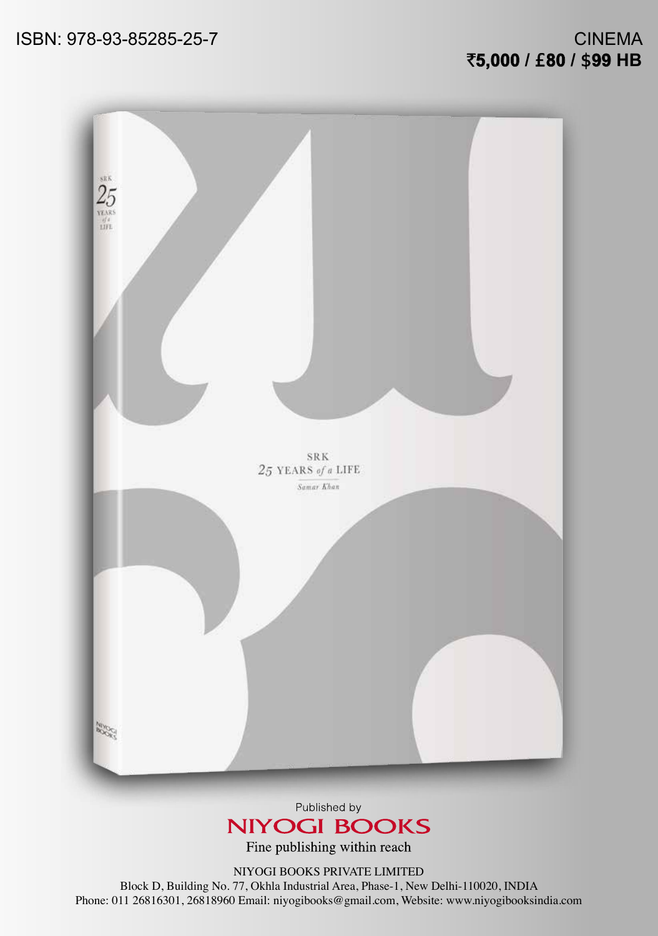## CINEMA `**5,000 /** £**80 /** \$**99 HB**



Published by **NIYOGI BOOKS** 

Fine publishing within reach

NIYOGI BOOKS PRIVATE LIMITED

Block D, Building No. 77, Okhla Industrial Area, Phase-1, New Delhi-110020, INDIA Phone: 011 26816301, 26818960 Email: niyogibooks@gmail.com, Website: www.niyogibooksindia.com